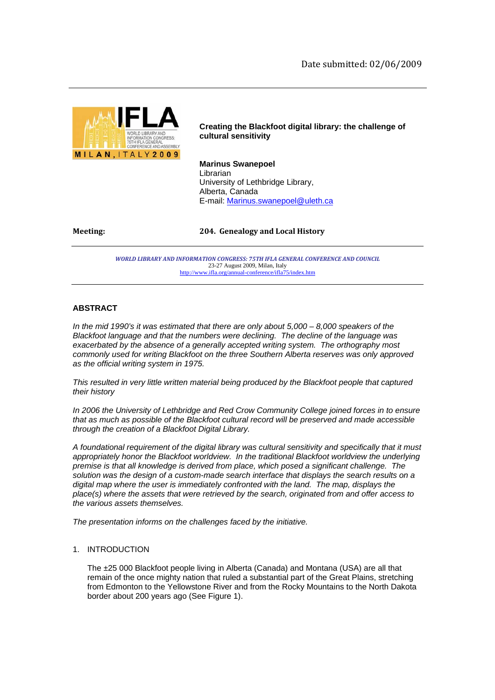

**Creating the Blackfoot digital library: the challenge of cultural sensitivity** 

**Marinus Swanepoel**  Librarian University of Lethbridge Library, Alberta, Canada E-mail: Marinus.swanepoel@uleth.ca

**Meeting: 204. Genealogy and Local History**

*WORLD LIBRARY AND INFORMATION CONGRESS: 75TH IFLA GENERAL CONFERENCE AND COUNCIL*  23-27 August 2009, Milan, Italy http://www.ifla.org/annual-conference/ifla75/index.htm

# **ABSTRACT**

*In the mid 1990's it was estimated that there are only about 5,000 – 8,000 speakers of the Blackfoot language and that the numbers were declining. The decline of the language was exacerbated by the absence of a generally accepted writing system. The orthography most commonly used for writing Blackfoot on the three Southern Alberta reserves was only approved as the official writing system in 1975.* 

*This resulted in very little written material being produced by the Blackfoot people that captured their history* 

*In 2006 the University of Lethbridge and Red Crow Community College joined forces in to ensure that as much as possible of the Blackfoot cultural record will be preserved and made accessible through the creation of a Blackfoot Digital Library.* 

*A foundational requirement of the digital library was cultural sensitivity and specifically that it must appropriately honor the Blackfoot worldview. In the traditional Blackfoot worldview the underlying premise is that all knowledge is derived from place, which posed a significant challenge. The solution was the design of a custom-made search interface that displays the search results on a digital map where the user is immediately confronted with the land. The map, displays the place(s) where the assets that were retrieved by the search, originated from and offer access to the various assets themselves.* 

*The presentation informs on the challenges faced by the initiative.* 

# 1. INTRODUCTION

The ±25 000 Blackfoot people living in Alberta (Canada) and Montana (USA) are all that remain of the once mighty nation that ruled a substantial part of the Great Plains, stretching from Edmonton to the Yellowstone River and from the Rocky Mountains to the North Dakota border about 200 years ago (See Figure 1).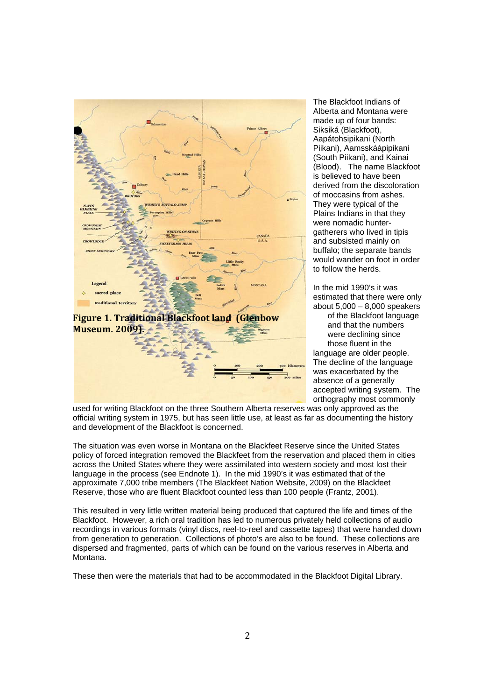

The Blackfoot Indians of Alberta and Montana were made up of four bands: Siksiká (Blackfoot), Aapátohsipikani (North Piikani), Aamsskáápipikani (South Piikani), and Kainai (Blood). The name Blackfoot is believed to have been derived from the discoloration of moccasins from ashes. They were typical of the Plains Indians in that they were nomadic huntergatherers who lived in tipis and subsisted mainly on buffalo; the separate bands would wander on foot in order to follow the herds.

In the mid 1990's it was estimated that there were only about 5,000 – 8,000 speakers of the Blackfoot language and that the numbers were declining since those fluent in the language are older people. The decline of the language was exacerbated by the absence of a generally accepted writing system. The orthography most commonly

used for writing Blackfoot on the three Southern Alberta reserves was only approved as the official writing system in 1975, but has seen little use, at least as far as documenting the history and development of the Blackfoot is concerned.

The situation was even worse in Montana on the Blackfeet Reserve since the United States policy of forced integration removed the Blackfeet from the reservation and placed them in cities across the United States where they were assimilated into western society and most lost their language in the process (see Endnote 1). In the mid 1990's it was estimated that of the approximate 7,000 tribe members (The Blackfeet Nation Website, 2009) on the Blackfeet Reserve, those who are fluent Blackfoot counted less than 100 people (Frantz, 2001).

This resulted in very little written material being produced that captured the life and times of the Blackfoot. However, a rich oral tradition has led to numerous privately held collections of audio recordings in various formats (vinyl discs, reel-to-reel and cassette tapes) that were handed down from generation to generation. Collections of photo's are also to be found. These collections are dispersed and fragmented, parts of which can be found on the various reserves in Alberta and Montana.

These then were the materials that had to be accommodated in the Blackfoot Digital Library.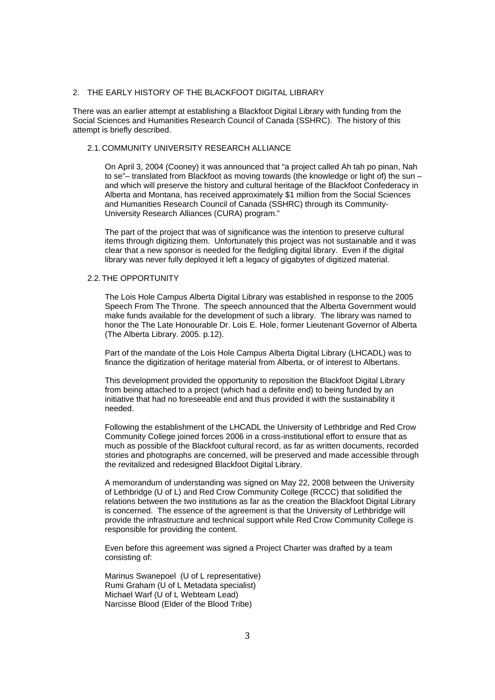## 2. THE EARLY HISTORY OF THE BLACKFOOT DIGITAL LIBRARY

There was an earlier attempt at establishing a Blackfoot Digital Library with funding from the Social Sciences and Humanities Research Council of Canada (SSHRC). The history of this attempt is briefly described.

## 2.1. COMMUNITY UNIVERSITY RESEARCH ALLIANCE

On April 3, 2004 (Cooney) it was announced that "a project called Ah tah po pinan, Nah to se"– translated from Blackfoot as moving towards (the knowledge or light of) the sun – and which will preserve the history and cultural heritage of the Blackfoot Confederacy in Alberta and Montana, has received approximately \$1 million from the Social Sciences and Humanities Research Council of Canada (SSHRC) through its Community-University Research Alliances (CURA) program."

The part of the project that was of significance was the intention to preserve cultural items through digitizing them. Unfortunately this project was not sustainable and it was clear that a new sponsor is needed for the fledgling digital library. Even if the digital library was never fully deployed it left a legacy of gigabytes of digitized material.

# 2.2. THE OPPORTUNITY

The Lois Hole Campus Alberta Digital Library was established in response to the 2005 Speech From The Throne. The speech announced that the Alberta Government would make funds available for the development of such a library. The library was named to honor the The Late Honourable Dr. Lois E. Hole, former Lieutenant Governor of Alberta (The Alberta Library. 2005. p.12).

Part of the mandate of the Lois Hole Campus Alberta Digital Library (LHCADL) was to finance the digitization of heritage material from Alberta, or of interest to Albertans.

This development provided the opportunity to reposition the Blackfoot Digital Library from being attached to a project (which had a definite end) to being funded by an initiative that had no foreseeable end and thus provided it with the sustainability it needed.

Following the establishment of the LHCADL the University of Lethbridge and Red Crow Community College joined forces 2006 in a cross-institutional effort to ensure that as much as possible of the Blackfoot cultural record, as far as written documents, recorded stories and photographs are concerned, will be preserved and made accessible through the revitalized and redesigned Blackfoot Digital Library.

A memorandum of understanding was signed on May 22, 2008 between the University of Lethbridge (U of L) and Red Crow Community College (RCCC) that solidified the relations between the two institutions as far as the creation the Blackfoot Digital Library is concerned. The essence of the agreement is that the University of Lethbridge will provide the infrastructure and technical support while Red Crow Community College is responsible for providing the content.

Even before this agreement was signed a Project Charter was drafted by a team consisting of:

Marinus Swanepoel (U of L representative) Rumi Graham (U of L Metadata specialist) Michael Warf (U of L Webteam Lead) Narcisse Blood (Elder of the Blood Tribe)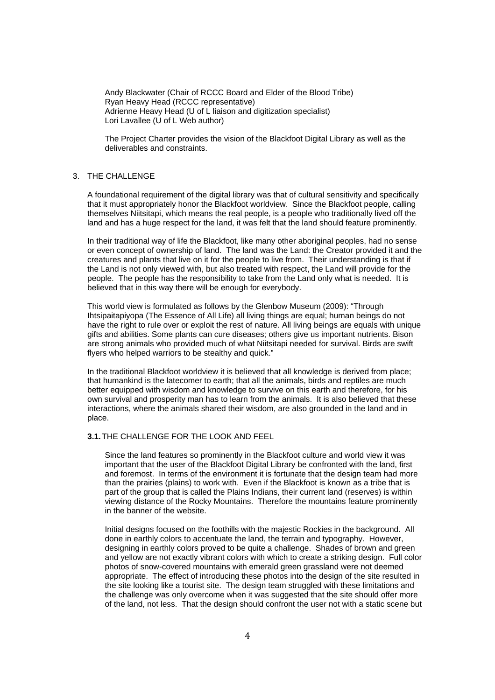Andy Blackwater (Chair of RCCC Board and Elder of the Blood Tribe) Ryan Heavy Head (RCCC representative) Adrienne Heavy Head (U of L liaison and digitization specialist) Lori Lavallee (U of L Web author)

The Project Charter provides the vision of the Blackfoot Digital Library as well as the deliverables and constraints.

## 3. THE CHALLENGE

A foundational requirement of the digital library was that of cultural sensitivity and specifically that it must appropriately honor the Blackfoot worldview. Since the Blackfoot people, calling themselves Niitsitapi, which means the real people, is a people who traditionally lived off the land and has a huge respect for the land, it was felt that the land should feature prominently.

In their traditional way of life the Blackfoot, like many other aboriginal peoples, had no sense or even concept of ownership of land. The land was the Land: the Creator provided it and the creatures and plants that live on it for the people to live from. Their understanding is that if the Land is not only viewed with, but also treated with respect, the Land will provide for the people. The people has the responsibility to take from the Land only what is needed. It is believed that in this way there will be enough for everybody.

This world view is formulated as follows by the Glenbow Museum (2009): "Through Ihtsipaitapiyopa (The Essence of All Life) all living things are equal; human beings do not have the right to rule over or exploit the rest of nature. All living beings are equals with unique gifts and abilities. Some plants can cure diseases; others give us important nutrients. Bison are strong animals who provided much of what Niitsitapi needed for survival. Birds are swift flyers who helped warriors to be stealthy and quick."

In the traditional Blackfoot worldview it is believed that all knowledge is derived from place; that humankind is the latecomer to earth; that all the animals, birds and reptiles are much better equipped with wisdom and knowledge to survive on this earth and therefore, for his own survival and prosperity man has to learn from the animals. It is also believed that these interactions, where the animals shared their wisdom, are also grounded in the land and in place.

### **3.1.** THE CHALLENGE FOR THE LOOK AND FEEL

Since the land features so prominently in the Blackfoot culture and world view it was important that the user of the Blackfoot Digital Library be confronted with the land, first and foremost. In terms of the environment it is fortunate that the design team had more than the prairies (plains) to work with. Even if the Blackfoot is known as a tribe that is part of the group that is called the Plains Indians, their current land (reserves) is within viewing distance of the Rocky Mountains. Therefore the mountains feature prominently in the banner of the website.

Initial designs focused on the foothills with the majestic Rockies in the background. All done in earthly colors to accentuate the land, the terrain and typography. However, designing in earthly colors proved to be quite a challenge. Shades of brown and green and yellow are not exactly vibrant colors with which to create a striking design. Full color photos of snow-covered mountains with emerald green grassland were not deemed appropriate. The effect of introducing these photos into the design of the site resulted in the site looking like a tourist site. The design team struggled with these limitations and the challenge was only overcome when it was suggested that the site should offer more of the land, not less. That the design should confront the user not with a static scene but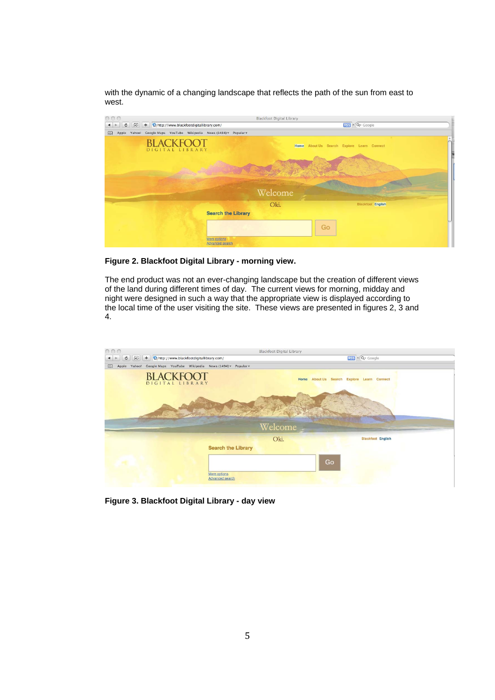with the dynamic of a changing landscape that reflects the path of the sun from east to west.



**Figure 2. Blackfoot Digital Library - morning view.** 

The end product was not an ever-changing landscape but the creation of different views of the land during different times of day. The current views for morning, midday and night were designed in such a way that the appropriate view is displayed according to the local time of the user visiting the site. These views are presented in figures 2, 3 and 4.



**Figure 3. Blackfoot Digital Library - day view**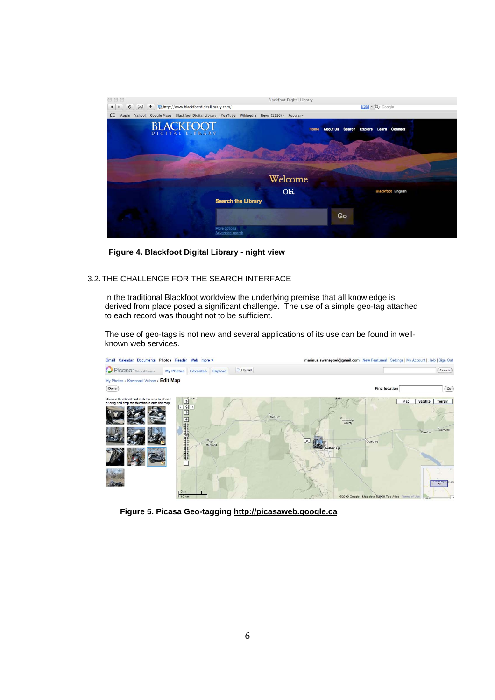

 **Figure 4. Blackfoot Digital Library - night view**

# 3.2. THE CHALLENGE FOR THE SEARCH INTERFACE

In the traditional Blackfoot worldview the underlying premise that all knowledge is derived from place posed a significant challenge. The use of a simple geo-tag attached to each record was thought not to be sufficient.

The use of geo-tags is not new and several applications of its use can be found in wellknown web services.



 **Figure 5. Picasa Geo-tagging http://picasaweb.google.ca**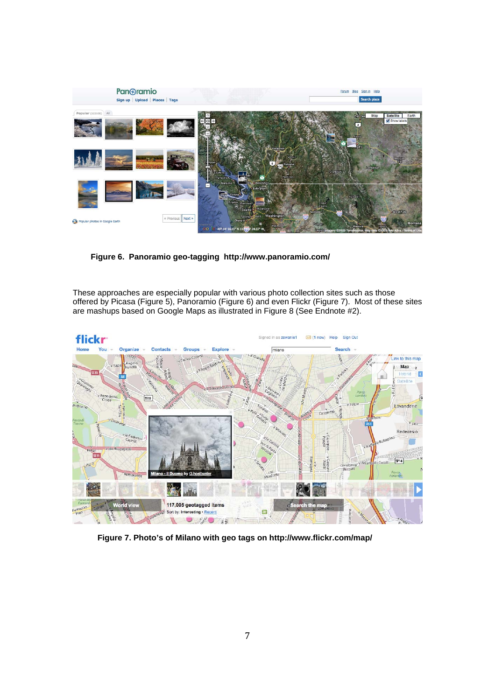

 **Figure 6. Panoramio geo-tagging http://www.panoramio.com/** 

These approaches are especially popular with various photo collection sites such as those offered by Picasa (Figure 5), Panoramio (Figure 6) and even Flickr (Figure 7). Most of these sites are mashups based on Google Maps as illustrated in Figure 8 (See Endnote #2).



 **Figure 7. Photo's of Milano with geo tags on http://www.flickr.com/map/**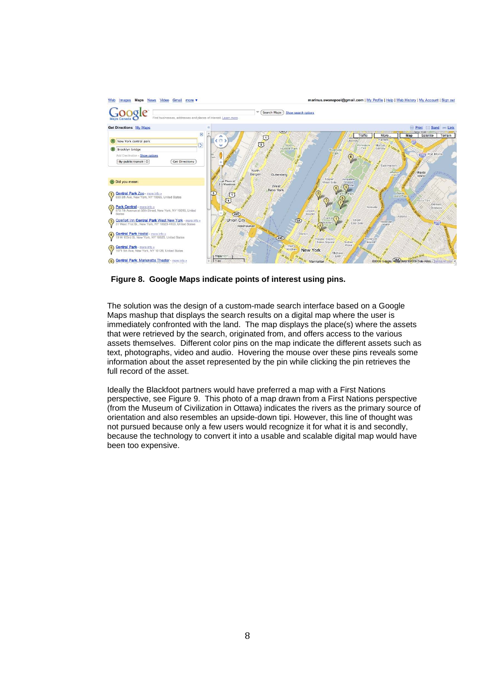

 **Figure 8. Google Maps indicate points of interest using pins.** 

The solution was the design of a custom-made search interface based on a Google Maps mashup that displays the search results on a digital map where the user is immediately confronted with the land. The map displays the place(s) where the assets that were retrieved by the search, originated from, and offers access to the various assets themselves. Different color pins on the map indicate the different assets such as text, photographs, video and audio. Hovering the mouse over these pins reveals some information about the asset represented by the pin while clicking the pin retrieves the full record of the asset.

Ideally the Blackfoot partners would have preferred a map with a First Nations perspective, see Figure 9. This photo of a map drawn from a First Nations perspective (from the Museum of Civilization in Ottawa) indicates the rivers as the primary source of orientation and also resembles an upside-down tipi. However, this line of thought was not pursued because only a few users would recognize it for what it is and secondly, because the technology to convert it into a usable and scalable digital map would have been too expensive.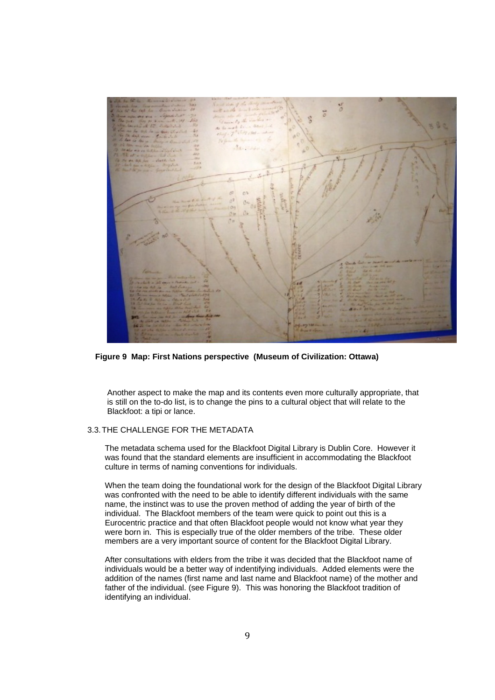

 **Figure 9 Map: First Nations perspective (Museum of Civilization: Ottawa)** 

Another aspect to make the map and its contents even more culturally appropriate, that is still on the to-do list, is to change the pins to a cultural object that will relate to the Blackfoot: a tipi or lance.

## 3.3. THE CHALLENGE FOR THE METADATA

The metadata schema used for the Blackfoot Digital Library is Dublin Core. However it was found that the standard elements are insufficient in accommodating the Blackfoot culture in terms of naming conventions for individuals.

When the team doing the foundational work for the design of the Blackfoot Digital Library was confronted with the need to be able to identify different individuals with the same name, the instinct was to use the proven method of adding the year of birth of the individual. The Blackfoot members of the team were quick to point out this is a Eurocentric practice and that often Blackfoot people would not know what year they were born in. This is especially true of the older members of the tribe. These older members are a very important source of content for the Blackfoot Digital Library.

After consultations with elders from the tribe it was decided that the Blackfoot name of individuals would be a better way of indentifying individuals. Added elements were the addition of the names (first name and last name and Blackfoot name) of the mother and father of the individual. (see Figure 9). This was honoring the Blackfoot tradition of identifying an individual.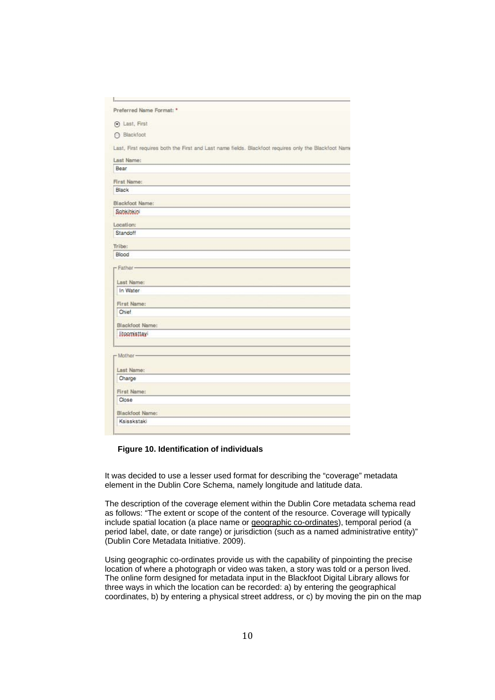| Preferred Name Format: *                                                                            |  |
|-----------------------------------------------------------------------------------------------------|--|
|                                                                                                     |  |
| (c) Last, First                                                                                     |  |
| ○ Blackfoot                                                                                         |  |
| Last, First requires both the First and Last name fields. Blackfoot requires only the Blackfoot Nam |  |
| Last Name:                                                                                          |  |
| Bear                                                                                                |  |
| First Name:                                                                                         |  |
| Black                                                                                               |  |
| Blackfoot Name:                                                                                     |  |
| Sobkibkibi                                                                                          |  |
| Location:                                                                                           |  |
| Standoff                                                                                            |  |
| Tribe:                                                                                              |  |
| Blood                                                                                               |  |
| - Father-<br>Last Name:<br>In Water<br>First Name:                                                  |  |
| Chief.                                                                                              |  |
| Blackfoot Name:                                                                                     |  |
| litoomisttayi                                                                                       |  |
| - Mother-                                                                                           |  |
| Last Name:                                                                                          |  |
| Charge                                                                                              |  |
| First Name:                                                                                         |  |
| Close                                                                                               |  |
| Blackfoot Name:                                                                                     |  |
| Ksisskstakl                                                                                         |  |

## **Figure 10. Identification of individuals**

It was decided to use a lesser used format for describing the "coverage" metadata element in the Dublin Core Schema, namely longitude and latitude data.

The description of the coverage element within the Dublin Core metadata schema read as follows: "The extent or scope of the content of the resource. Coverage will typically include spatial location (a place name or geographic co-ordinates), temporal period (a period label, date, or date range) or jurisdiction (such as a named administrative entity)" (Dublin Core Metadata Initiative. 2009).

Using geographic co-ordinates provide us with the capability of pinpointing the precise location of where a photograph or video was taken, a story was told or a person lived. The online form designed for metadata input in the Blackfoot Digital Library allows for three ways in which the location can be recorded: a) by entering the geographical coordinates, b) by entering a physical street address, or c) by moving the pin on the map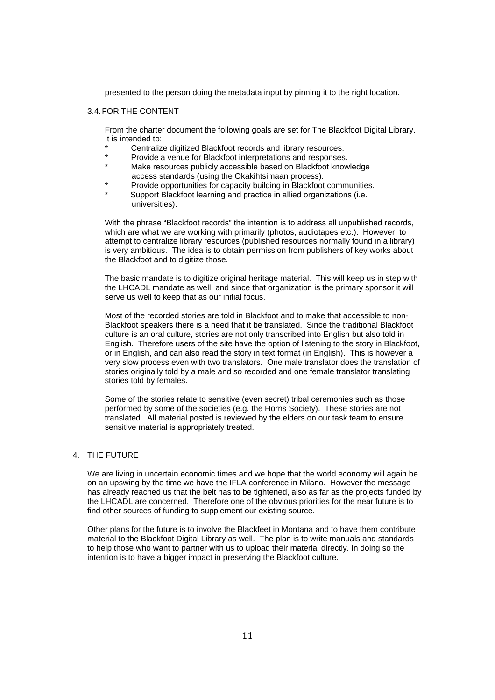presented to the person doing the metadata input by pinning it to the right location.

### 3.4. FOR THE CONTENT

From the charter document the following goals are set for The Blackfoot Digital Library. It is intended to:

- \* Centralize digitized Blackfoot records and library resources.
- \* Provide a venue for Blackfoot interpretations and responses.
- Make resources publicly accessible based on Blackfoot knowledge access standards (using the Okakihtsimaan process).
- Provide opportunities for capacity building in Blackfoot communities.
- Support Blackfoot learning and practice in allied organizations (i.e. universities).

With the phrase "Blackfoot records" the intention is to address all unpublished records, which are what we are working with primarily (photos, audiotapes etc.). However, to attempt to centralize library resources (published resources normally found in a library) is very ambitious. The idea is to obtain permission from publishers of key works about the Blackfoot and to digitize those.

The basic mandate is to digitize original heritage material. This will keep us in step with the LHCADL mandate as well, and since that organization is the primary sponsor it will serve us well to keep that as our initial focus.

Most of the recorded stories are told in Blackfoot and to make that accessible to non-Blackfoot speakers there is a need that it be translated. Since the traditional Blackfoot culture is an oral culture, stories are not only transcribed into English but also told in English. Therefore users of the site have the option of listening to the story in Blackfoot, or in English, and can also read the story in text format (in English). This is however a very slow process even with two translators. One male translator does the translation of stories originally told by a male and so recorded and one female translator translating stories told by females.

Some of the stories relate to sensitive (even secret) tribal ceremonies such as those performed by some of the societies (e.g. the Horns Society). These stories are not translated. All material posted is reviewed by the elders on our task team to ensure sensitive material is appropriately treated.

## 4. THE FUTURE

We are living in uncertain economic times and we hope that the world economy will again be on an upswing by the time we have the IFLA conference in Milano. However the message has already reached us that the belt has to be tightened, also as far as the projects funded by the LHCADL are concerned. Therefore one of the obvious priorities for the near future is to find other sources of funding to supplement our existing source.

Other plans for the future is to involve the Blackfeet in Montana and to have them contribute material to the Blackfoot Digital Library as well. The plan is to write manuals and standards to help those who want to partner with us to upload their material directly. In doing so the intention is to have a bigger impact in preserving the Blackfoot culture.